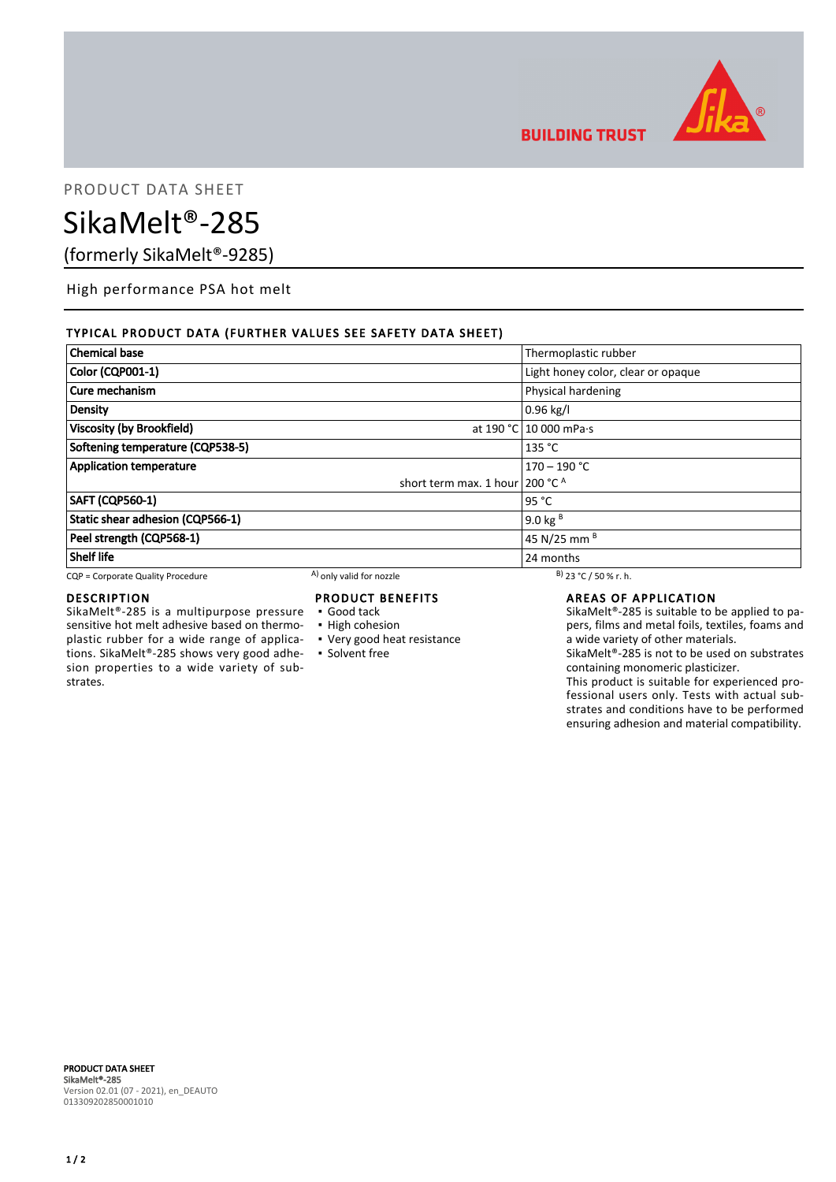

**BUILDING TRUST** 

PRODUCT DATA SHEET

# SikaMelt®-285

(formerly SikaMelt®-9285)

High performance PSA hot melt

# TYPICAL PRODUCT DATA (FURTHER VALUES SEE SAFETY DATA SHEET)

| <b>Chemical base</b>              |                                           |                                    |
|-----------------------------------|-------------------------------------------|------------------------------------|
|                                   |                                           | Thermoplastic rubber               |
| Color (CQP001-1)                  |                                           | Light honey color, clear or opaque |
| Cure mechanism                    |                                           | Physical hardening                 |
| <b>Density</b>                    |                                           | $0.96$ kg/l                        |
| Viscosity (by Brookfield)         |                                           | at 190 °C 10 000 mPa·s             |
| Softening temperature (CQP538-5)  |                                           | 135 °C                             |
| <b>Application temperature</b>    |                                           | $170 - 190 °C$                     |
|                                   | short term max. 1 hour 200 $^{\circ}$ C A |                                    |
| <b>SAFT (CQP560-1)</b>            |                                           | 95 $^{\circ}$ C                    |
| Static shear adhesion (CQP566-1)  |                                           | 9.0 kg $B$                         |
| Peel strength (CQP568-1)          |                                           | 45 N/25 mm B                       |
| <b>Shelf life</b>                 |                                           | 24 months                          |
| CQP = Corporate Quality Procedure | <sup>A</sup> ) only valid for nozzle      | $B)$ 23 °C / 50 % r. h.            |

# DESCRIPTION

SikaMelt®-285 is a multipurpose pressure sensitive hot melt adhesive based on thermoplastic rubber for a wide range of applications. SikaMelt®-285 shows very good adhesion properties to a wide variety of substrates.

# PRODUCT BENEFITS

- Good tack
- **· High cohesion**
- Very good heat resistance
- **Solvent free**

#### AREAS OF APPLICATION

SikaMelt®-285 is suitable to be applied to papers, films and metal foils, textiles, foams and a wide variety of other materials.

SikaMelt®-285 is not to be used on substrates containing monomeric plasticizer.

This product is suitable for experienced professional users only. Tests with actual substrates and conditions have to be performed ensuring adhesion and material compatibility.